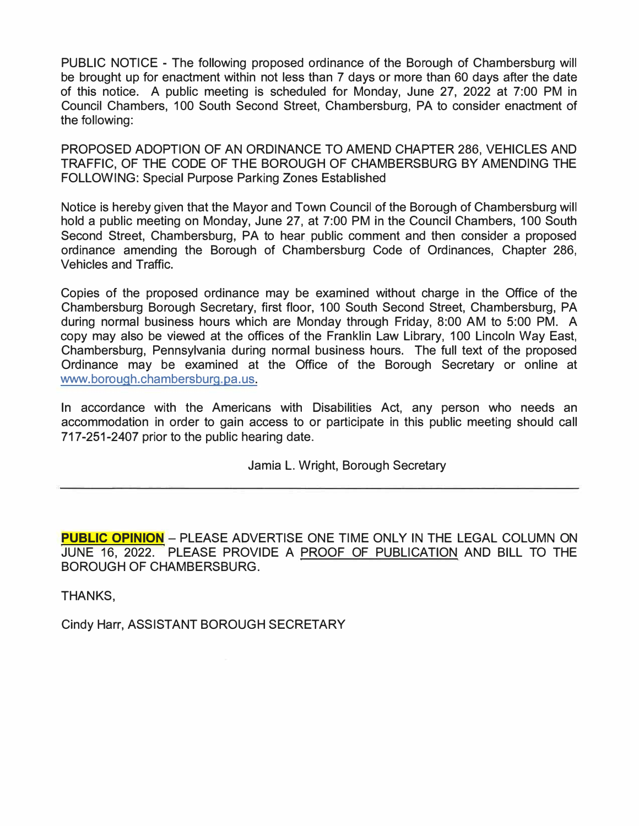PUBLIC NOTICE - The following proposed ordinance of the Borough of Chambersburg will be brought up for enactment within not less than 7 days or more than 60 days after the date of this notice. A public meeting is scheduled for Monday, June 27, 2022 at 7:00 PM in Council Chambers, 100 South Second Street, Chambersburg, PA to consider enactment of the following:

PROPOSED ADOPTION OF AN ORDINANCE TO AMEND CHAPTER 286, VEHICLES AND TRAFFIC, OF THE CODE OF THE BOROUGH OF CHAMBERSBURG BY AMENDING THE FOLLOWING: Special Purpose Parking Zones Established

Notice is hereby given that the Mayor and Town Council of the Borough of Chambersburg will hold a public meeting on Monday, June 27, at 7:00 PM in the Council Chambers, 100 South Second Street, Chambersburg, PA to hear public comment and then consider a proposed ordinance amending the Borough of Chambersburg Code of Ordinances, Chapter 286, Vehicles and Traffic.

Copies of the proposed ordinance may be examined without charge in the Office of the Chambersburg Borough Secretary, first floor, 100 South Second Street, Chambersburg, PA during normal business hours which are Monday through Friday, 8:00 AM to 5:00 PM. A copy may also be viewed at the offices of the Franklin Law Library, 100 Lincoln Way East, Chambersburg, Pennsylvania during normal business hours. The full text of the proposed Ordinance may be examined at the Office of the Borough Secretary or online at www.borough.chambersburg.pa.us.

In accordance with the Americans with Disabilities Act, any person who needs an accommodation in order to gain access to or participate in this public meeting should call 717-251-2407 prior to the public hearing date.

Jamia L. Wright, Borough Secretary

**PUBLIC OPINION** - PLEASE ADVERTISE ONE TIME ONLY IN THE LEGAL COLUMN ON JUNE 16, 2022. PLEASE PROVIDE A PROOF OF PUBLICATION AND BILL TO THE BOROUGH OF CHAMBERSBURG.

THANKS,

Cindy Harr, ASSISTANT BOROUGH SECRETARY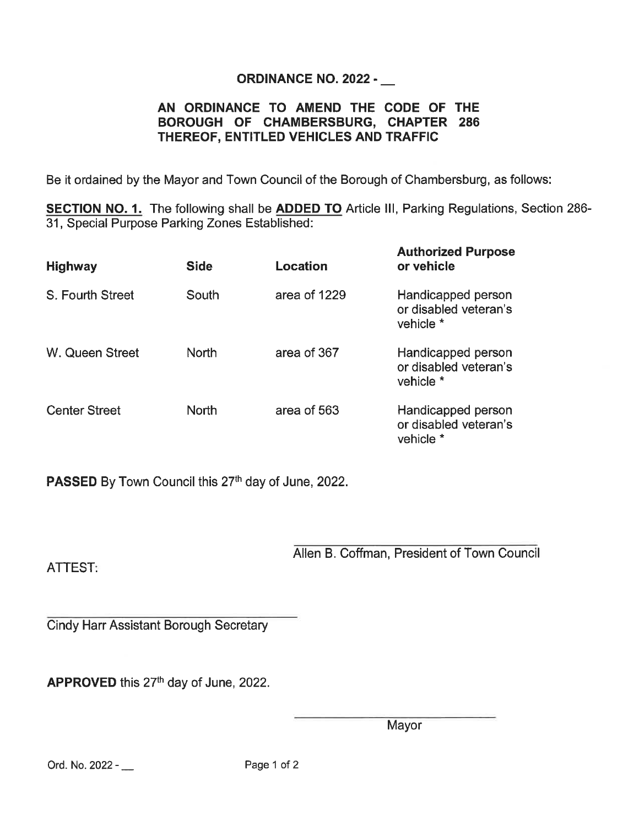## **ORDINANCE NO. 2022 - \_\_**

## AN ORDINANCE TO AMEND THE CODE OF THE BOROUGH OF CHAMBERSBURG, CHAPTER 286 THEREOF, ENTITLED VEHICLES AND TRAFFIC

Be it ordained by the Mayor and Town Council of the Borough of Chambersburg, as follows:

SECTION NO. 1. The following shall be ADDED TO Article III, Parking Regulations, Section 286-31, Special Purpose Parking Zones Established:

| <b>Highway</b>       | <b>Side</b>  | Location     | <b>Authorized Purpose</b><br>or vehicle                  |
|----------------------|--------------|--------------|----------------------------------------------------------|
| S. Fourth Street     | South        | area of 1229 | Handicapped person<br>or disabled veteran's<br>vehicle * |
| W. Queen Street      | North        | area of 367  | Handicapped person<br>or disabled veteran's<br>vehicle * |
| <b>Center Street</b> | <b>North</b> | area of 563  | Handicapped person<br>or disabled veteran's<br>vehicle * |

PASSED By Town Council this 27th day of June, 2022.

**ATTEST:** 

Allen B. Coffman, President of Town Council

Cindy Harr Assistant Borough Secretary

APPROVED this 27th day of June, 2022.

Mayor

Ord. No. 2022 - \_\_

Page 1 of 2